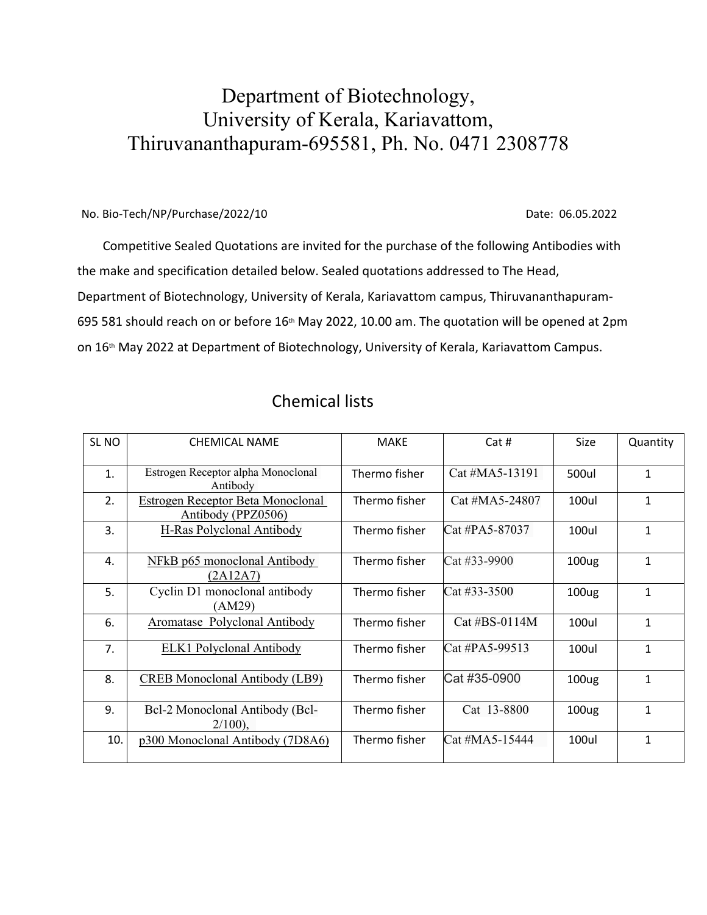## Department of Biotechnology, University of Kerala, Kariavattom, Thiruvananthapuram-695581, Ph. No. 0471 2308778

## No. Bio-Tech/NP/Purchase/2022/10 Date: 06.05.2022

 Competitive Sealed Quotations are invited for the purchase of the following Antibodies with the make and specification detailed below. Sealed quotations addressed to The Head, Department of Biotechnology, University of Kerala, Kariavattom campus, Thiruvananthapuram-695 581 should reach on or before 16<sup>th</sup> May 2022, 10.00 am. The quotation will be opened at 2pm on 16<sup>th</sup> May 2022 at Department of Biotechnology, University of Kerala, Kariavattom Campus.

| SL NO | <b>CHEMICAL NAME</b>                                    | <b>MAKE</b>   | Cat#                     | Size              | Quantity     |
|-------|---------------------------------------------------------|---------------|--------------------------|-------------------|--------------|
| 1.    | Estrogen Receptor alpha Monoclonal<br>Antibody          | Thermo fisher | $Cat$ #MA5-13191         | 500ul             | $\mathbf{1}$ |
| 2.    | Estrogen Receptor Beta Monoclonal<br>Antibody (PPZ0506) | Thermo fisher | Cat #MA5-24807           | <b>100ul</b>      | 1            |
| 3.    | H-Ras Polyclonal Antibody                               | Thermo fisher | Cat #PA5-87037           | 100ul             | $\mathbf{1}$ |
| 4.    | NFkB p65 monoclonal Antibody<br>(2A12A7)                | Thermo fisher | Cat #33-9900             | 100 <sub>ug</sub> | $\mathbf{1}$ |
| 5.    | Cyclin D1 monoclonal antibody<br>(AM29)                 | Thermo fisher | $\text{Cat} \#33 - 3500$ | 100 <sub>ug</sub> | $\mathbf{1}$ |
| 6.    | Aromatase Polyclonal Antibody                           | Thermo fisher | Cat #BS-0114M            | <b>100ul</b>      | $\mathbf{1}$ |
| 7.    | <b>ELK1</b> Polyclonal Antibody                         | Thermo fisher | Cat #PA5-99513           | <b>100ul</b>      | $\mathbf{1}$ |
| 8.    | <b>CREB</b> Monoclonal Antibody (LB9)                   | Thermo fisher | Cat #35-0900             | 100 <sub>ug</sub> | $\mathbf{1}$ |
| 9.    | Bcl-2 Monoclonal Antibody (Bcl-<br>$2/100$ ),           | Thermo fisher | Cat 13-8800              | 100 <sub>ug</sub> | $\mathbf{1}$ |
| 10.   | p300 Monoclonal Antibody (7D8A6)                        | Thermo fisher | Cat #MA5-15444           | <b>100ul</b>      | $\mathbf{1}$ |

## Chemical lists